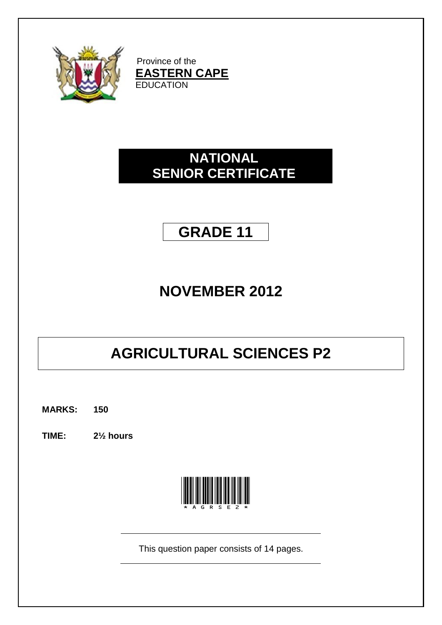

Province of the **EASTERN CAPE EDUCATION** 

# **NATIONAL SENIOR CERTIFICATE**

# **GRADE 11**

# **NOVEMBER 2012**

# **AGRICULTURAL SCIENCES P2**

**MARKS: 150**

**TIME: 2½ hours**



This question paper consists of 14 pages.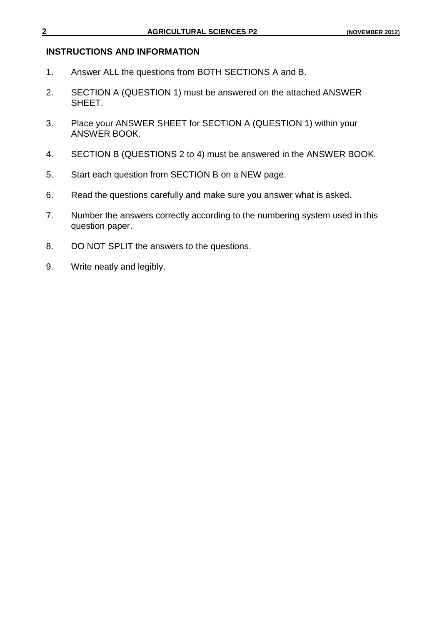## **INSTRUCTIONS AND INFORMATION**

- 1. Answer ALL the questions from BOTH SECTIONS A and B.
- 2. SECTION A (QUESTION 1) must be answered on the attached ANSWER SHEET.
- 3. Place your ANSWER SHEET for SECTION A (QUESTION 1) within your ANSWER BOOK.
- 4. SECTION B (QUESTIONS 2 to 4) must be answered in the ANSWER BOOK.
- 5. Start each question from SECTION B on a NEW page.
- 6. Read the questions carefully and make sure you answer what is asked.
- 7. Number the answers correctly according to the numbering system used in this question paper.
- 8. DO NOT SPLIT the answers to the questions.
- 9. Write neatly and legibly.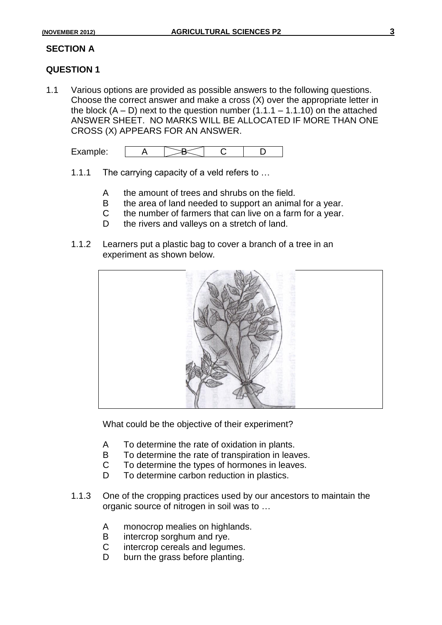# **SECTION A**

# **QUESTION 1**

1.1 Various options are provided as possible answers to the following questions. Choose the correct answer and make a cross (X) over the appropriate letter in the block  $(A - D)$  next to the question number  $(1.1.1 - 1.1.10)$  on the attached ANSWER SHEET. NO MARKS WILL BE ALLOCATED IF MORE THAN ONE CROSS (X) APPEARS FOR AN ANSWER.

| $\cdots$<br>LAUITIPIU. |
|------------------------|
|------------------------|

- 1.1.1 The carrying capacity of a veld refers to …
	- A the amount of trees and shrubs on the field.
	- B the area of land needed to support an animal for a year.
	- C the number of farmers that can live on a farm for a year.
	- D the rivers and valleys on a stretch of land.
- 1.1.2 Learners put a plastic bag to cover a branch of a tree in an experiment as shown below.



What could be the objective of their experiment?

- A To determine the rate of oxidation in plants.
- B To determine the rate of transpiration in leaves.
- C To determine the types of hormones in leaves.
- D To determine carbon reduction in plastics.
- 1.1.3 One of the cropping practices used by our ancestors to maintain the organic source of nitrogen in soil was to …
	- A monocrop mealies on highlands.
	- B intercrop sorghum and rye.
	- C intercrop cereals and legumes.
	- D burn the grass before planting.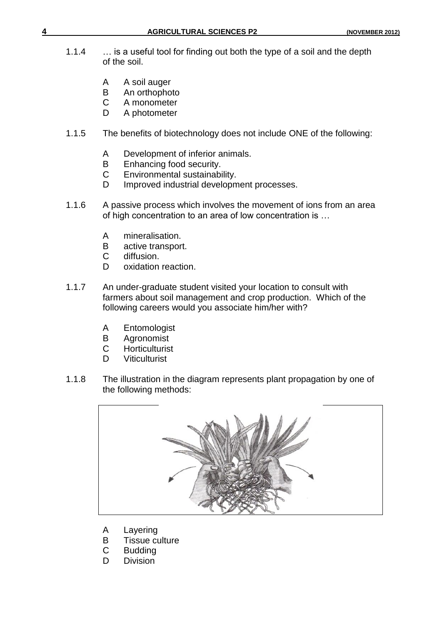- 1.1.4 … is a useful tool for finding out both the type of a soil and the depth of the soil.
	- A A soil auger
	- B An orthophoto
	- C A monometer<br>D A photometer
	- A photometer
- 1.1.5 The benefits of biotechnology does not include ONE of the following:
	- A Development of inferior animals.<br>B Enhancing food security.
	- Enhancing food security.
	- C Environmental sustainability.
	- D Improved industrial development processes.
- 1.1.6 A passive process which involves the movement of ions from an area of high concentration to an area of low concentration is …
	- A mineralisation.
	- B active transport.<br>C diffusion.
	- diffusion.
	- D oxidation reaction.
- 1.1.7 An under-graduate student visited your location to consult with farmers about soil management and crop production. Which of the following careers would you associate him/her with?
	- A Entomologist
	- B Agronomist
	- C Horticulturist
	- D Viticulturist
- 1.1.8 The illustration in the diagram represents plant propagation by one of the following methods:



- A Layering
- B Tissue culture
- C Budding
- D Division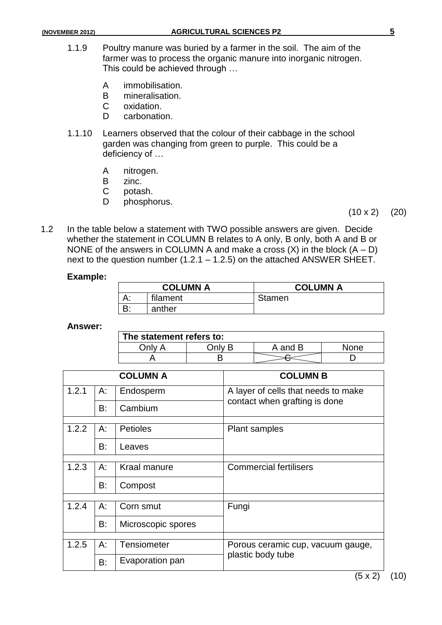- 1.1.9 Poultry manure was buried by a farmer in the soil. The aim of the farmer was to process the organic manure into inorganic nitrogen. This could be achieved through …
	- A immobilisation.<br>B mineralisation.
	- mineralisation.
	- C oxidation.
	- D carbonation.
- 1.1.10 Learners observed that the colour of their cabbage in the school garden was changing from green to purple. This could be a deficiency of …
	- A nitrogen.
	- B zinc.<br>C potas
	- potash.
	- D phosphorus.
- $(10 \times 2)$   $(20)$
- 1.2 In the table below a statement with TWO possible answers are given. Decide whether the statement in COLUMN B relates to A only, B only, both A and B or NONE of the answers in COLUMN A and make a cross  $(X)$  in the block  $(A - D)$ next to the question number (1.2.1 – 1.2.5) on the attached ANSWER SHEET.

### **Example:**

| <b>COLUMN A</b> |          | <b>COLUMN A</b> |
|-----------------|----------|-----------------|
| ⌒.              | filament | <b>Stamen</b>   |
|                 | anther   |                 |

### **Answer:**

| The statement refers to: |  |         |      |  |
|--------------------------|--|---------|------|--|
| 1nlv                     |  | A and B | None |  |
|                          |  |         |      |  |

|               |                               | <b>COLUMN A</b>    | <b>COLUMN B</b>                     |
|---------------|-------------------------------|--------------------|-------------------------------------|
| 1.2.1         | А:                            | Endosperm          | A layer of cells that needs to make |
| B:<br>Cambium | contact when grafting is done |                    |                                     |
| 1.2.2         | A:                            | <b>Petioles</b>    | <b>Plant samples</b>                |
|               |                               |                    |                                     |
|               | B:<br>Leaves                  |                    |                                     |
|               |                               |                    |                                     |
| 1.2.3         | A:                            | Kraal manure       | <b>Commercial fertilisers</b>       |
|               | B:                            | Compost            |                                     |
|               |                               |                    |                                     |
| 1.2.4         | A:                            | Corn smut          | Fungi                               |
|               | B:                            | Microscopic spores |                                     |
|               |                               |                    |                                     |
| 1.2.5         | A:                            | <b>Tensiometer</b> | Porous ceramic cup, vacuum gauge,   |
|               | B:                            | Evaporation pan    | plastic body tube                   |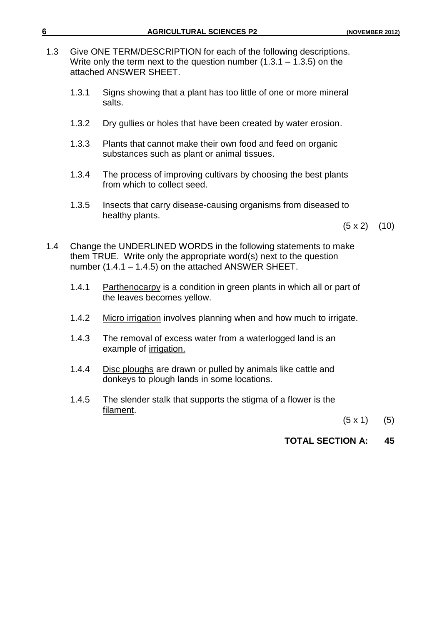| 1.3 | Give ONE TERM/DESCRIPTION for each of the following descriptions.<br>Write only the term next to the question number $(1.3.1 - 1.3.5)$ on the<br>attached ANSWER SHEET. |                                                                                                           |         |     |
|-----|-------------------------------------------------------------------------------------------------------------------------------------------------------------------------|-----------------------------------------------------------------------------------------------------------|---------|-----|
|     | 1.3.1                                                                                                                                                                   | Signs showing that a plant has too little of one or more mineral<br>salts.                                |         |     |
|     | 1.3.2                                                                                                                                                                   | Dry gullies or holes that have been created by water erosion.                                             |         |     |
|     | 1.3.3                                                                                                                                                                   | Plants that cannot make their own food and feed on organic<br>substances such as plant or animal tissues. |         |     |
|     | 1.3.4                                                                                                                                                                   | The process of improving cultivars by choosing the best plants<br>from which to collect seed.             |         |     |
|     | 1.3.5                                                                                                                                                                   | Insects that carry disease-causing organisms from diseased to<br>healthy plants.                          | (5 x 2) | 10) |

**6 AGRICULTURAL SCIENCES P2 (NOVEMBER 2012)**

- 1.4 Change the UNDERLINED WORDS in the following statements to make them TRUE. Write only the appropriate word(s) next to the question number (1.4.1 – 1.4.5) on the attached ANSWER SHEET.
	- 1.4.1 Parthenocarpy is a condition in green plants in which all or part of the leaves becomes yellow.
	- 1.4.2 Micro irrigation involves planning when and how much to irrigate.
	- 1.4.3 The removal of excess water from a waterlogged land is an example of irrigation.
	- 1.4.4 Disc ploughs are drawn or pulled by animals like cattle and donkeys to plough lands in some locations.
	- 1.4.5 The slender stalk that supports the stigma of a flower is the filament.

 $(5 \times 1)$  (5)

**TOTAL SECTION A: 45**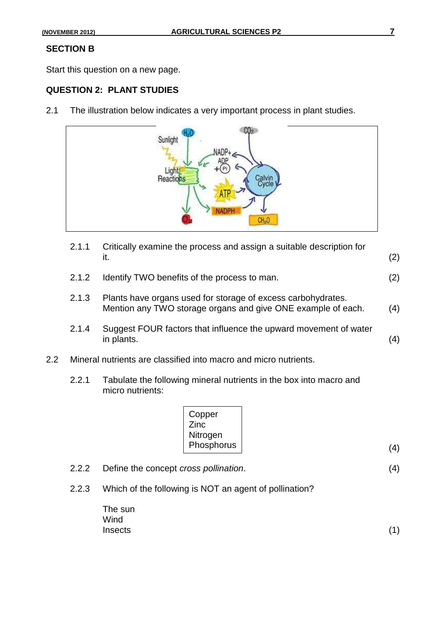## **SECTION B**

Start this question on a new page.

### **QUESTION 2: PLANT STUDIES**

2.1 The illustration below indicates a very important process in plant studies.



- 2.1.1 Critically examine the process and assign a suitable description for it.  $(2)$ 2.1.2 Identify TWO benefits of the process to man. (2)
- 2.1.3 Plants have organs used for storage of excess carbohydrates. Mention any TWO storage organs and give ONE example of each. (4)
- 2.1.4 Suggest FOUR factors that influence the upward movement of water  $in$  plants.  $(4)$
- 2.2 Mineral nutrients are classified into macro and micro nutrients.
	- 2.2.1 Tabulate the following mineral nutrients in the box into macro and micro nutrients:

| Copper<br>Zinc |     |
|----------------|-----|
| Nitrogen       |     |
| Phosphorus     | (4) |

- 2.2.2 Define the concept *cross pollination*. (4)
- 2.2.3 Which of the following is NOT an agent of pollination?

| The sun |     |
|---------|-----|
| Wind    |     |
| Insects | (1) |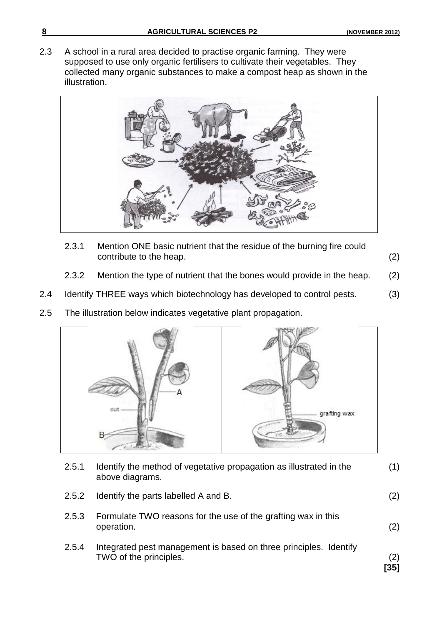2.3 A school in a rural area decided to practise organic farming. They were supposed to use only organic fertilisers to cultivate their vegetables. They collected many organic substances to make a compost heap as shown in the illustration.



- 2.3.1 Mention ONE basic nutrient that the residue of the burning fire could contribute to the heap. (2)
	-
- 2.3.2 Mention the type of nutrient that the bones would provide in the heap. (2)
- 2.4 Identify THREE ways which biotechnology has developed to control pests. (3)
- 2.5 The illustration below indicates vegetative plant propagation.



| 2.5.1 | Identify the method of vegetative propagation as illustrated in the<br>above diagrams.      | (1)           |
|-------|---------------------------------------------------------------------------------------------|---------------|
| 2.5.2 | Identify the parts labelled A and B.                                                        | (2)           |
| 2.5.3 | Formulate TWO reasons for the use of the grafting wax in this<br>operation.                 | (2)           |
| 2.5.4 | Integrated pest management is based on three principles. Identify<br>TWO of the principles. | (2)<br>$[35]$ |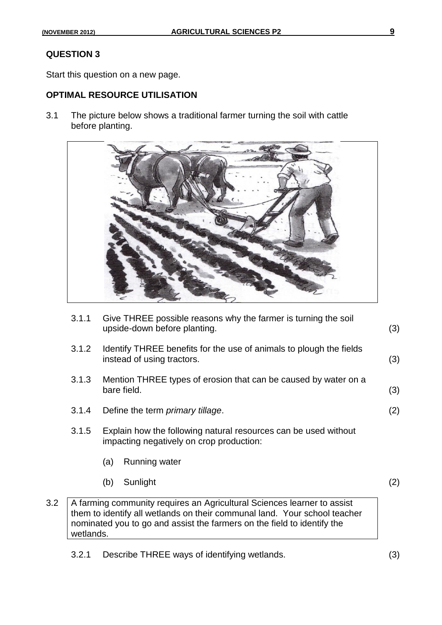# **QUESTION 3**

Start this question on a new page.

# **OPTIMAL RESOURCE UTILISATION**

3.1 The picture below shows a traditional farmer turning the soil with cattle before planting.



|     | 3.1.1     | Give THREE possible reasons why the farmer is turning the soil<br>upside-down before planting.                                                                                                                                  | (3) |
|-----|-----------|---------------------------------------------------------------------------------------------------------------------------------------------------------------------------------------------------------------------------------|-----|
|     | 3.1.2     | Identify THREE benefits for the use of animals to plough the fields<br>instead of using tractors.                                                                                                                               | (3) |
|     | 3.1.3     | Mention THREE types of erosion that can be caused by water on a<br>bare field.                                                                                                                                                  | (3) |
|     | 3.1.4     | Define the term <i>primary tillage</i> .                                                                                                                                                                                        | (2) |
|     | 3.1.5     | Explain how the following natural resources can be used without<br>impacting negatively on crop production:                                                                                                                     |     |
|     |           | Running water<br>(a)                                                                                                                                                                                                            |     |
|     |           | Sunlight<br>(b)                                                                                                                                                                                                                 | (2) |
| 3.2 | wetlands. | A farming community requires an Agricultural Sciences learner to assist<br>them to identify all wetlands on their communal land. Your school teacher<br>nominated you to go and assist the farmers on the field to identify the |     |

3.2.1 Describe THREE ways of identifying wetlands. (3)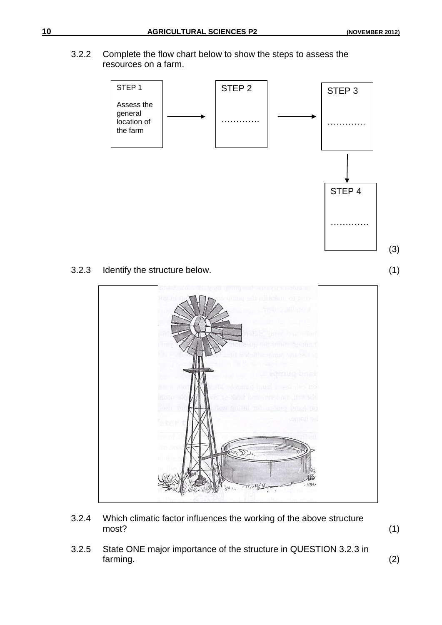3.2.2 Complete the flow chart below to show the steps to assess the resources on a farm.



- 3.2.4 Which climatic factor influences the working of the above structure most? (1)
	-
- 3.2.5 State ONE major importance of the structure in QUESTION 3.2.3 in farming. (2)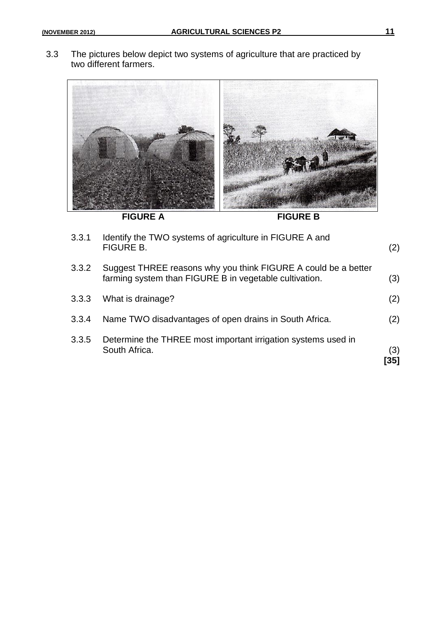3.3 The pictures below depict two systems of agriculture that are practiced by two different farmers.



| 3.3.1 | Identify the TWO systems of agriculture in FIGURE A and<br><b>FIGURE B.</b>                                              | (2)        |
|-------|--------------------------------------------------------------------------------------------------------------------------|------------|
| 3.3.2 | Suggest THREE reasons why you think FIGURE A could be a better<br>farming system than FIGURE B in vegetable cultivation. | (3)        |
| 3.3.3 | What is drainage?                                                                                                        | (2)        |
| 3.3.4 | Name TWO disadvantages of open drains in South Africa.                                                                   | (2)        |
| 3.3.5 | Determine the THREE most important irrigation systems used in<br>South Africa.                                           | (3)<br>351 |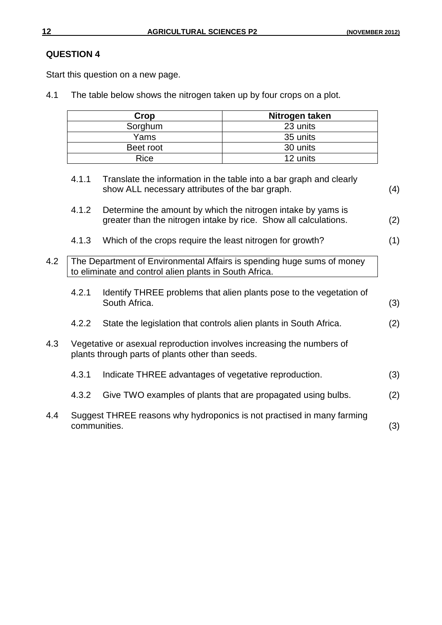# **QUESTION 4**

Start this question on a new page.

4.1 The table below shows the nitrogen taken up by four crops on a plot.

| Crop      | Nitrogen taken |
|-----------|----------------|
| Sorghum   | 23 units       |
| Yams      | 35 units       |
| Beet root | 30 units       |
| Rice      | 12 units       |

4.1.1 Translate the information in the table into a bar graph and clearly show ALL necessary attributes of the bar graph. (4)

| 4.1.2 | Determine the amount by which the nitrogen intake by yams is     |     |
|-------|------------------------------------------------------------------|-----|
|       | greater than the nitrogen intake by rice. Show all calculations. | (2) |

- 4.1.3 Which of the crops require the least nitrogen for growth? (1)
- 4.2 The Department of Environmental Affairs is spending huge sums of money to eliminate and control alien plants in South Africa.
	- 4.2.1 Identify THREE problems that alien plants pose to the vegetation of South Africa. (3)
	- 4.2.2 State the legislation that controls alien plants in South Africa. (2)
- 4.3 Vegetative or asexual reproduction involves increasing the numbers of plants through parts of plants other than seeds.
	- 4.3.1 Indicate THREE advantages of vegetative reproduction. (3) 4.3.2 Give TWO examples of plants that are propagated using bulbs. (2)
- 4.4 Suggest THREE reasons why hydroponics is not practised in many farming communities. (3)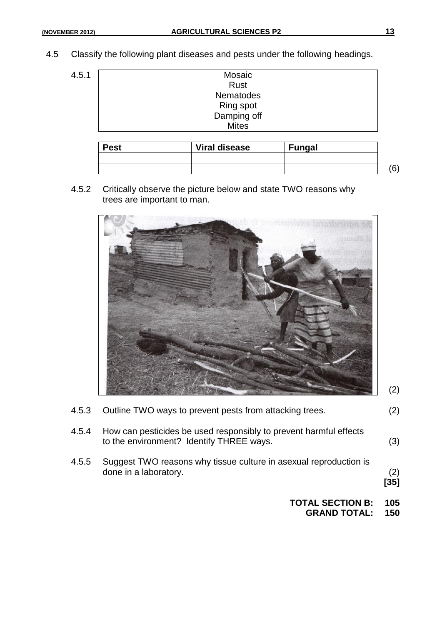- 4.5 Classify the following plant diseases and pests under the following headings.
	- $4.5.1$

| <b>Mosaic</b> |                  |
|---------------|------------------|
| Rust          |                  |
| Nematodes     |                  |
|               |                  |
| Damping off   |                  |
| <b>Mites</b>  |                  |
|               |                  |
|               | <b>Ring spot</b> |

| <b>Pest</b> | <b>Viral disease</b> | <b>Fungal</b> |  |
|-------------|----------------------|---------------|--|
|             |                      |               |  |
|             |                      |               |  |

4.5.2 Critically observe the picture below and state TWO reasons why trees are important to man.



|       | <b>TOTAL SECTION B:</b>                                                                                       | 105           |
|-------|---------------------------------------------------------------------------------------------------------------|---------------|
| 4.5.5 | Suggest TWO reasons why tissue culture in asexual reproduction is<br>done in a laboratory.                    | (2)<br>$[35]$ |
| 4.5.4 | How can pesticides be used responsibly to prevent harmful effects<br>to the environment? Identify THREE ways. | (3)           |
| 4.5.3 | Outline TWO ways to prevent pests from attacking trees.                                                       | (2)           |

**GRAND TOTAL: 150**